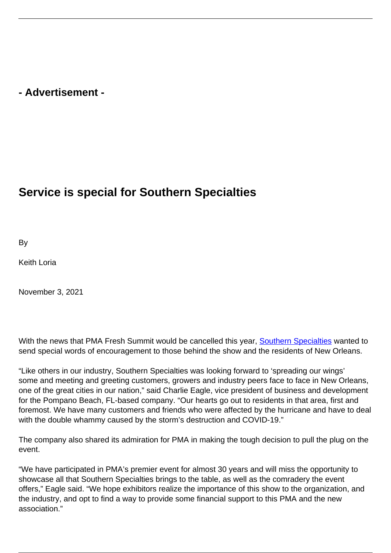## **- Advertisement -**

## **Service is special for Southern Specialties**

By

Keith Loria

November 3, 2021

With the news that PMA Fresh Summit would be cancelled this year, **Southern Specialties** wanted to send special words of encouragement to those behind the show and the residents of New Orleans.

"Like others in our industry, Southern Specialties was looking forward to 'spreading our wings' some and meeting and greeting customers, growers and industry peers face to face in New Orleans, one of the great cities in our nation," said Charlie Eagle, vice president of business and development for the Pompano Beach, FL-based company. "Our hearts go out to residents in that area, first and foremost. We have many customers and friends who were affected by the hurricane and have to deal with the double whammy caused by the storm's destruction and COVID-19."

The company also shared its admiration for PMA in making the tough decision to pull the plug on the event.

"We have participated in PMA's premier event for almost 30 years and will miss the opportunity to showcase all that Southern Specialties brings to the table, as well as the comradery the event offers," Eagle said. "We hope exhibitors realize the importance of this show to the organization, and the industry, and opt to find a way to provide some financial support to this PMA and the new association."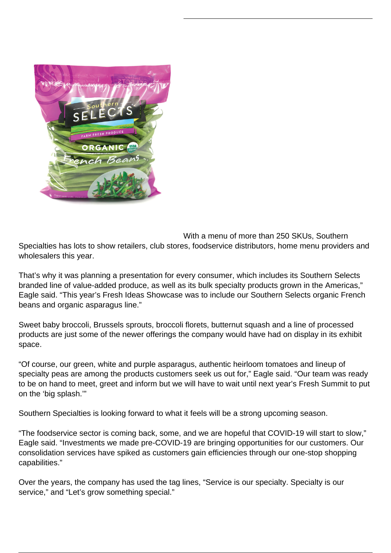

With a menu of more than 250 SKUs, Southern

Specialties has lots to show retailers, club stores, foodservice distributors, home menu providers and wholesalers this year.

That's why it was planning a presentation for every consumer, which includes its Southern Selects branded line of value-added produce, as well as its bulk specialty products grown in the Americas," Eagle said. "This year's Fresh Ideas Showcase was to include our Southern Selects organic French beans and organic asparagus line."

Sweet baby broccoli, Brussels sprouts, broccoli florets, butternut squash and a line of processed products are just some of the newer offerings the company would have had on display in its exhibit space.

"Of course, our green, white and purple asparagus, authentic heirloom tomatoes and lineup of specialty peas are among the products customers seek us out for," Eagle said. "Our team was ready to be on hand to meet, greet and inform but we will have to wait until next year's Fresh Summit to put on the 'big splash.'"

Southern Specialties is looking forward to what it feels will be a strong upcoming season.

"The foodservice sector is coming back, some, and we are hopeful that COVID-19 will start to slow," Eagle said. "Investments we made pre-COVID-19 are bringing opportunities for our customers. Our consolidation services have spiked as customers gain efficiencies through our one-stop shopping capabilities."

Over the years, the company has used the tag lines, "Service is our specialty. Specialty is our service," and "Let's grow something special."